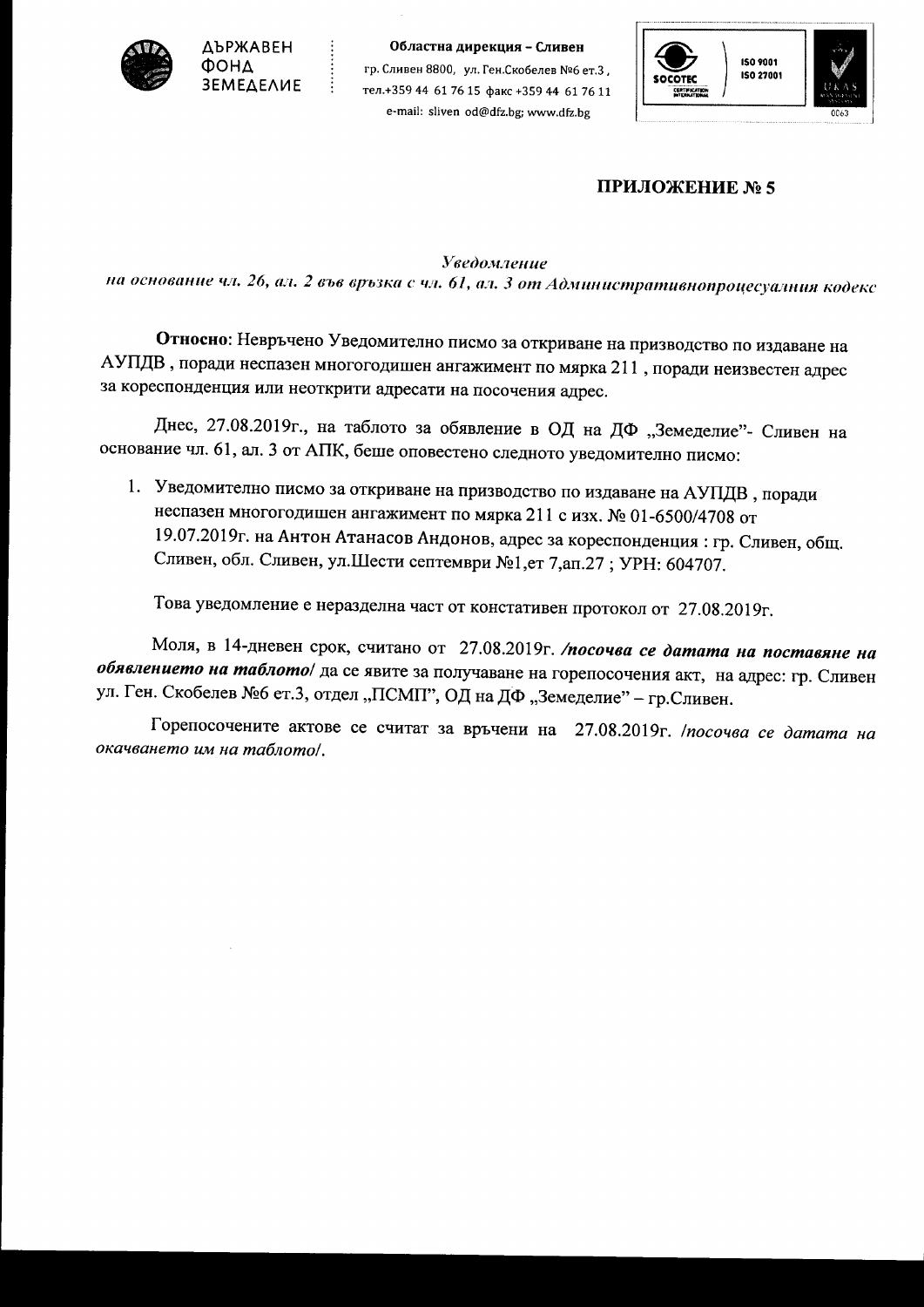

**ДЪРЖАВЕН OOHA** *<u>3EMEAEAUE</u>* 

Областна дирекция - Сливен гр. Сливен 8800, ул. Ген. Скобелев №6 ет. 3. тел.+359 44 61 76 15 факс +359 44 61 76 11 e-mail: sliven od@dfz.bg; www.dfz.bg



## ПРИЛОЖЕНИЕ № 5

**Уведомление** 

на основание чл. 26, ал. 2 във връзка с чл. 61, ал. 3 от Административнопроцесуалния кодекс

Относно: Невръчено Уведомително писмо за откриване на призводство по издаване на АУПДВ, поради неспазен многогодишен ангажимент по мярка 211, поради неизвестен адрес за кореспонденция или неоткрити адресати на посочения адрес.

Днес, 27.08.2019г., на таблото за обявление в ОД на ДФ "Земеделие"- Сливен на основание чл. 61, ал. 3 от АПК, беше оповестено следното уведомително писмо:

1. Уведомително писмо за откриване на призводство по издаване на АУПДВ, поради неспазен многогодишен ангажимент по мярка 211 с изх. № 01-6500/4708 от 19.07.2019г. на Антон Атанасов Андонов, адрес за кореспонденция: гр. Сливен, общ. Сливен, обл. Сливен, ул.Шести септември №1,ет 7,ап.27; УРН: 604707.

Това уведомление е неразделна част от констативен протокол от 27.08.2019г.

Моля, в 14-дневен срок, считано от 27.08.2019г. /посочва се датата на поставяне на обявлението на таблото/ да се явите за получаване на горепосочения акт, на адрес: гр. Сливен ул. Ген. Скобелев №6 ет.3, отдел "ПСМП", ОД на ДФ "Земеделие" - гр.Сливен.

Горепосочените актове се считат за връчени на 27.08.2019г. /посочва се датата на окачването им на таблото/.